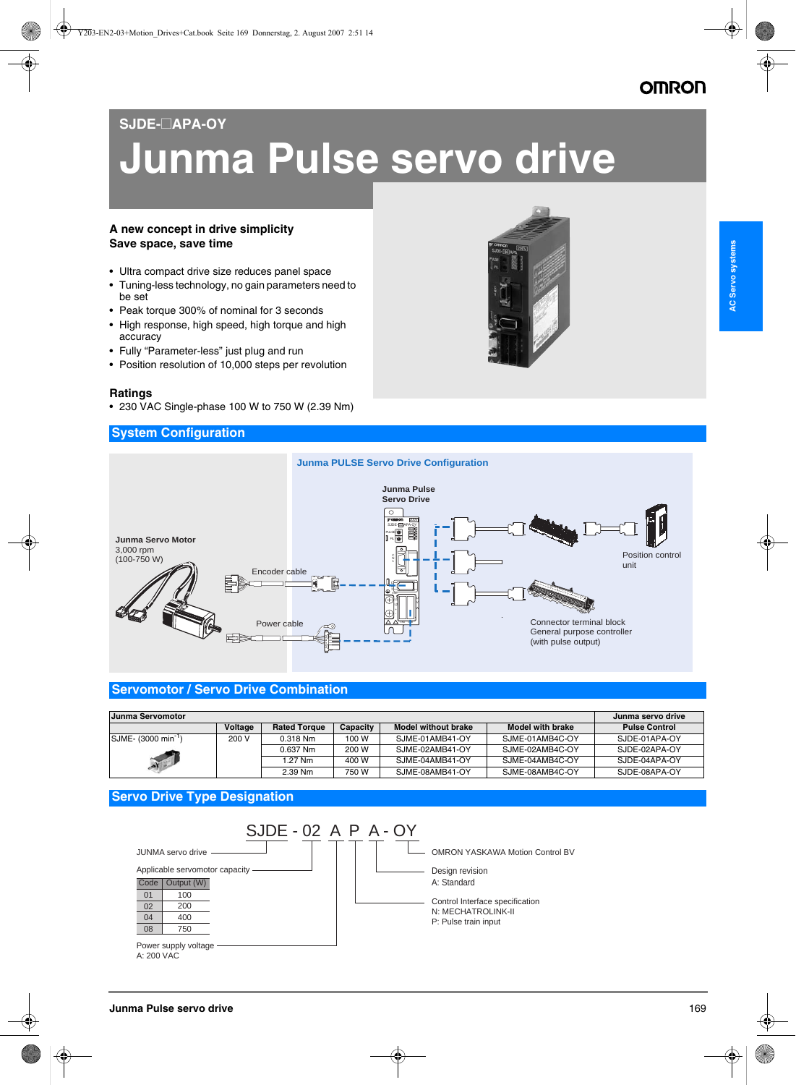# **OMRON**

## **SJDE-**@**APA-OY**

# **Junma Pulse servo drive**

#### **A new concept in drive simplicity Save space, save time**

- Ultra compact drive size reduces panel space
- Tuning-less technology, no gain parameters need to be set
- Peak torque 300% of nominal for 3 seconds
- High response, high speed, high torque and high accuracy
- Fully "Parameter-less" just plug and run
- Position resolution of 10,000 steps per revolution

#### **Ratings**

• 230 VAC Single-phase 100 W to 750 W (2.39 Nm)

#### **System Configuration**





#### **Servomotor / Servo Drive Combination**

| <b>Junma Servomotor</b>         |         |                     |          |                     |                         | Junma servo drive    |
|---------------------------------|---------|---------------------|----------|---------------------|-------------------------|----------------------|
|                                 | Voltage | <b>Rated Torque</b> | Capacity | Model without brake | <b>Model with brake</b> | <b>Pulse Control</b> |
| SJME- (3000 min <sup>-1</sup> ) | 200 V   | $0.318$ Nm          | 100 W    | SJME-01AMB41-OY     | SJME-01AMB4C-OY         | SJDE-01APA-OY        |
|                                 |         | 0.637 Nm            | 200 W    | SJME-02AMB41-OY     | SJME-02AMB4C-OY         | SJDE-02APA-OY        |
|                                 |         | 1.27 Nm             | 400 W    | SJME-04AMB41-OY     | SJME-04AMB4C-OY         | SJDE-04APA-OY        |
|                                 |         | 2.39 Nm             | 750 W    | SJME-08AMB41-OY     | SJME-08AMB4C-OY         | SJDE-08APA-OY        |

### **Servo Drive Type Designation**

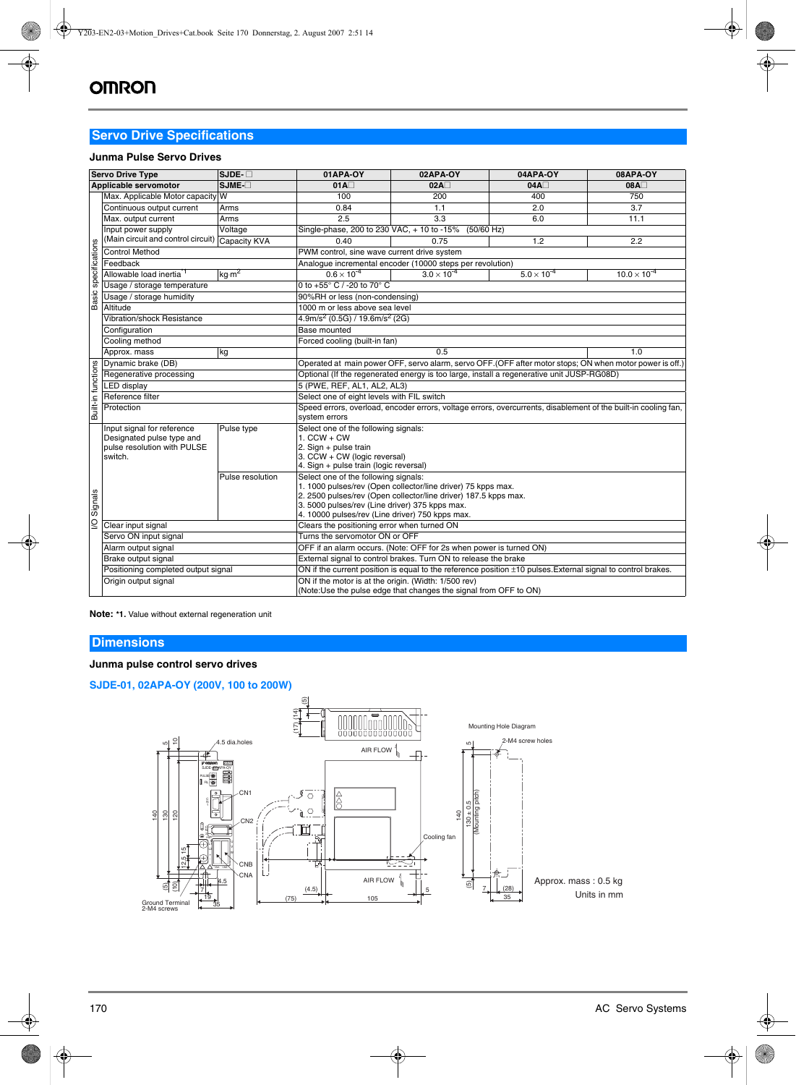# **Servo Drive Specifications**

#### **Junma Pulse Servo Drives**

| <b>Servo Drive Type</b>                                     | $SJDE - \Box$                                                                                                                                            | 01APA-0Y                                                                                                          | 02APA-OY                               | 04APA-OY                                                                                                                                                                                                                                                                                                                                                                                                                                                                                                                                                                                                    | <b>08APA-OY</b>                                                                                                              |  |  |
|-------------------------------------------------------------|----------------------------------------------------------------------------------------------------------------------------------------------------------|-------------------------------------------------------------------------------------------------------------------|----------------------------------------|-------------------------------------------------------------------------------------------------------------------------------------------------------------------------------------------------------------------------------------------------------------------------------------------------------------------------------------------------------------------------------------------------------------------------------------------------------------------------------------------------------------------------------------------------------------------------------------------------------------|------------------------------------------------------------------------------------------------------------------------------|--|--|
| Applicable servomotor                                       | $SJME$ - $\square$                                                                                                                                       | $01A\Box$                                                                                                         | $02A\square$                           | $04A\square$                                                                                                                                                                                                                                                                                                                                                                                                                                                                                                                                                                                                | 08A                                                                                                                          |  |  |
|                                                             | W                                                                                                                                                        | 100                                                                                                               | 200                                    | 400                                                                                                                                                                                                                                                                                                                                                                                                                                                                                                                                                                                                         | 750                                                                                                                          |  |  |
| Continuous output current                                   | Arms                                                                                                                                                     | 0.84                                                                                                              | 1.1                                    | 2.0                                                                                                                                                                                                                                                                                                                                                                                                                                                                                                                                                                                                         | 3.7                                                                                                                          |  |  |
| Max. output current                                         | Arms                                                                                                                                                     | 2.5                                                                                                               | 3.3                                    | 6.0                                                                                                                                                                                                                                                                                                                                                                                                                                                                                                                                                                                                         | 11.1                                                                                                                         |  |  |
| Input power supply                                          | Voltage                                                                                                                                                  | Single-phase, 200 to 230 VAC, + 10 to -15%<br>$(50/60$ Hz)                                                        |                                        |                                                                                                                                                                                                                                                                                                                                                                                                                                                                                                                                                                                                             |                                                                                                                              |  |  |
|                                                             | Capacity KVA                                                                                                                                             | 0.40                                                                                                              | 0.75                                   | 1.2                                                                                                                                                                                                                                                                                                                                                                                                                                                                                                                                                                                                         | 2.2                                                                                                                          |  |  |
| <b>Control Method</b>                                       |                                                                                                                                                          |                                                                                                                   |                                        |                                                                                                                                                                                                                                                                                                                                                                                                                                                                                                                                                                                                             |                                                                                                                              |  |  |
| Feedback                                                    |                                                                                                                                                          |                                                                                                                   |                                        |                                                                                                                                                                                                                                                                                                                                                                                                                                                                                                                                                                                                             |                                                                                                                              |  |  |
| Allowable load inertia <sup>1</sup>                         | kg·m <sup>2</sup>                                                                                                                                        | $0.6 \times 10^{-4}$                                                                                              | $3.0 \times 10^{-4}$                   | $5.0 \times 10^{-4}$                                                                                                                                                                                                                                                                                                                                                                                                                                                                                                                                                                                        | $10.0 \times 10^{-4}$                                                                                                        |  |  |
| Usage / storage temperature                                 |                                                                                                                                                          | 0 to +55° C / -20 to 70° C                                                                                        |                                        |                                                                                                                                                                                                                                                                                                                                                                                                                                                                                                                                                                                                             |                                                                                                                              |  |  |
| Usage / storage humidity                                    |                                                                                                                                                          |                                                                                                                   |                                        |                                                                                                                                                                                                                                                                                                                                                                                                                                                                                                                                                                                                             |                                                                                                                              |  |  |
| Altitude                                                    |                                                                                                                                                          |                                                                                                                   |                                        |                                                                                                                                                                                                                                                                                                                                                                                                                                                                                                                                                                                                             |                                                                                                                              |  |  |
| <b>Vibration/shock Resistance</b>                           |                                                                                                                                                          |                                                                                                                   |                                        |                                                                                                                                                                                                                                                                                                                                                                                                                                                                                                                                                                                                             |                                                                                                                              |  |  |
| Configuration                                               |                                                                                                                                                          | Base mounted                                                                                                      |                                        |                                                                                                                                                                                                                                                                                                                                                                                                                                                                                                                                                                                                             |                                                                                                                              |  |  |
| Cooling method                                              |                                                                                                                                                          |                                                                                                                   |                                        |                                                                                                                                                                                                                                                                                                                                                                                                                                                                                                                                                                                                             |                                                                                                                              |  |  |
| Approx. mass                                                | kg                                                                                                                                                       | 0.5<br>1.0                                                                                                        |                                        |                                                                                                                                                                                                                                                                                                                                                                                                                                                                                                                                                                                                             |                                                                                                                              |  |  |
| Dynamic brake (DB)                                          |                                                                                                                                                          | Operated at main power OFF, servo alarm, servo OFF. (OFF after motor stops; ON when motor power is off.)          |                                        |                                                                                                                                                                                                                                                                                                                                                                                                                                                                                                                                                                                                             |                                                                                                                              |  |  |
| Regenerative processing                                     |                                                                                                                                                          | Optional (If the regenerated energy is too large, install a regenerative unit JUSP-RG08D)                         |                                        |                                                                                                                                                                                                                                                                                                                                                                                                                                                                                                                                                                                                             |                                                                                                                              |  |  |
| <b>LED</b> display                                          |                                                                                                                                                          | 5 (PWE, REF, AL1, AL2, AL3)                                                                                       |                                        |                                                                                                                                                                                                                                                                                                                                                                                                                                                                                                                                                                                                             |                                                                                                                              |  |  |
| Reference filter                                            |                                                                                                                                                          |                                                                                                                   |                                        |                                                                                                                                                                                                                                                                                                                                                                                                                                                                                                                                                                                                             |                                                                                                                              |  |  |
| Built-in functions<br>Protection                            |                                                                                                                                                          | Speed errors, overload, encoder errors, voltage errors, overcurrents, disablement of the built-in cooling fan,    |                                        |                                                                                                                                                                                                                                                                                                                                                                                                                                                                                                                                                                                                             |                                                                                                                              |  |  |
|                                                             |                                                                                                                                                          | system errors                                                                                                     |                                        |                                                                                                                                                                                                                                                                                                                                                                                                                                                                                                                                                                                                             |                                                                                                                              |  |  |
| Input signal for reference<br>Pulse type                    |                                                                                                                                                          |                                                                                                                   |                                        |                                                                                                                                                                                                                                                                                                                                                                                                                                                                                                                                                                                                             |                                                                                                                              |  |  |
|                                                             |                                                                                                                                                          |                                                                                                                   |                                        |                                                                                                                                                                                                                                                                                                                                                                                                                                                                                                                                                                                                             |                                                                                                                              |  |  |
|                                                             |                                                                                                                                                          |                                                                                                                   |                                        |                                                                                                                                                                                                                                                                                                                                                                                                                                                                                                                                                                                                             |                                                                                                                              |  |  |
|                                                             |                                                                                                                                                          |                                                                                                                   |                                        |                                                                                                                                                                                                                                                                                                                                                                                                                                                                                                                                                                                                             |                                                                                                                              |  |  |
|                                                             | Pulse resolution                                                                                                                                         |                                                                                                                   |                                        |                                                                                                                                                                                                                                                                                                                                                                                                                                                                                                                                                                                                             |                                                                                                                              |  |  |
|                                                             |                                                                                                                                                          | 1. 1000 pulses/rev (Open collector/line driver) 75 kpps max.                                                      |                                        |                                                                                                                                                                                                                                                                                                                                                                                                                                                                                                                                                                                                             |                                                                                                                              |  |  |
|                                                             |                                                                                                                                                          |                                                                                                                   |                                        |                                                                                                                                                                                                                                                                                                                                                                                                                                                                                                                                                                                                             |                                                                                                                              |  |  |
|                                                             |                                                                                                                                                          |                                                                                                                   |                                        |                                                                                                                                                                                                                                                                                                                                                                                                                                                                                                                                                                                                             |                                                                                                                              |  |  |
| I/O Signals                                                 |                                                                                                                                                          |                                                                                                                   |                                        |                                                                                                                                                                                                                                                                                                                                                                                                                                                                                                                                                                                                             |                                                                                                                              |  |  |
|                                                             |                                                                                                                                                          |                                                                                                                   |                                        |                                                                                                                                                                                                                                                                                                                                                                                                                                                                                                                                                                                                             |                                                                                                                              |  |  |
|                                                             |                                                                                                                                                          | OFF if an alarm occurs. (Note: OFF for 2s when power is turned ON)                                                |                                        |                                                                                                                                                                                                                                                                                                                                                                                                                                                                                                                                                                                                             |                                                                                                                              |  |  |
| Alarm output signal                                         |                                                                                                                                                          | External signal to control brakes. Turn ON to release the brake                                                   |                                        |                                                                                                                                                                                                                                                                                                                                                                                                                                                                                                                                                                                                             |                                                                                                                              |  |  |
| Brake output signal                                         |                                                                                                                                                          | ON if the current position is equal to the reference position $\pm$ 10 pulses. External signal to control brakes. |                                        |                                                                                                                                                                                                                                                                                                                                                                                                                                                                                                                                                                                                             |                                                                                                                              |  |  |
|                                                             |                                                                                                                                                          |                                                                                                                   |                                        |                                                                                                                                                                                                                                                                                                                                                                                                                                                                                                                                                                                                             |                                                                                                                              |  |  |
| Positioning completed output signal<br>Origin output signal |                                                                                                                                                          | ON if the motor is at the origin. (Width: 1/500 rev)                                                              |                                        |                                                                                                                                                                                                                                                                                                                                                                                                                                                                                                                                                                                                             |                                                                                                                              |  |  |
|                                                             | (Main circuit and control circuit)<br>Designated pulse type and<br>pulse resolution with PULSE<br>switch.<br>Clear input signal<br>Servo ON input signal | Max. Applicable Motor capacity                                                                                    | $1.$ CCW + CW<br>2. Sign + pulse train | PWM control, sine wave current drive system<br>90%RH or less (non-condensing)<br>1000 m or less above sea level<br>$4.9$ m/s <sup>2</sup> (0.5G) / 19.6m/s <sup>2</sup> (2G)<br>Forced cooling (built-in fan)<br>Select one of eight levels with FIL switch<br>Select one of the following signals:<br>3. CCW + CW (logic reversal)<br>4. Sign + pulse train (logic reversal)<br>Select one of the following signals:<br>3. 5000 pulses/rev (Line driver) 375 kpps max.<br>4. 10000 pulses/rev (Line driver) 750 kpps max.<br>Clears the positioning error when turned ON<br>Turns the servomotor ON or OFF | Analogue incremental encoder (10000 steps per revolution)<br>2. 2500 pulses/rev (Open collector/line driver) 187.5 kpps max. |  |  |

**Note: \*1.** Value without external regeneration unit

#### **Dimensions**

#### **Junma pulse control servo drives**

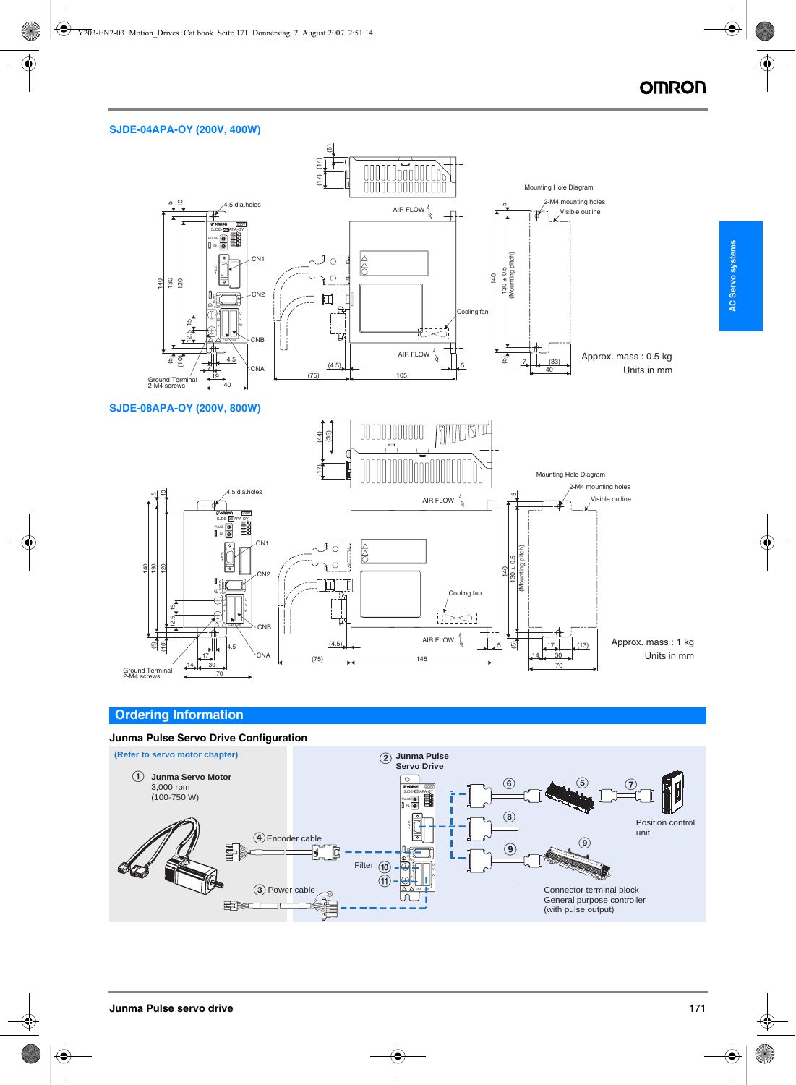#### **SJDE-04APA-OY (200V, 400W)**





#### **Ordering Information**

#### **Junma Pulse Servo Drive Configuration**